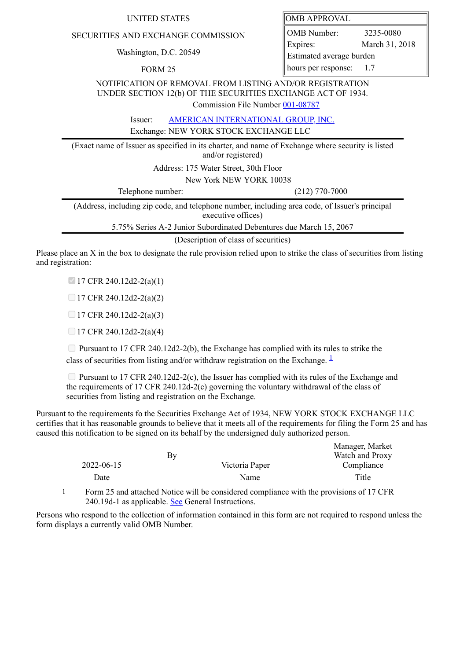## SECURITIES AND EXCHANGE COMMISSION

Washington, D.C. 20549

FORM 25

| UNITED STATES | <b>OMB APPROVAL</b> |
|---------------|---------------------|
|               |                     |

OMB Number: 3235-0080 Expires: March 31, 2018 Estimated average burden hours per response: 1.7

NOTIFICATION OF REMOVAL FROM LISTING AND/OR REGISTRATION UNDER SECTION 12(b) OF THE SECURITIES EXCHANGE ACT OF 1934. Commission File Number [001-08787](file:///cgi-bin/browse-edgar?action=getcompany&filenum=001-08787)

Issuer: AMERICAN INTERNATIONAL GROUP INC.

Exchange: NEW YORK STOCK EXCHANGE LLC

(Exact name of Issuer as specified in its charter, and name of Exchange where security is listed and/or registered)

Address: 175 Water Street, 30th Floor

New York NEW YORK 10038

Telephone number: (212) 770-7000

(Address, including zip code, and telephone number, including area code, of Issuer's principal executive offices)

5.75% Series A-2 Junior Subordinated Debentures due March 15, 2067

(Description of class of securities)

Please place an X in the box to designate the rule provision relied upon to strike the class of securities from listing and registration:

 $17$  CFR 240.12d2-2(a)(1)

 $\Box$  17 CFR 240.12d2-2(a)(2)

 $\Box$  17 CFR 240.12d2-2(a)(3)

 $\Box$  17 CFR 240.12d2-2(a)(4)

 $\Box$  Pursuant to 17 CFR 240.12d2-2(b), the Exchange has complied with its rules to strike the class of securities from listing and/or withdraw registration on the Exchange.  $\frac{1}{2}$  $\frac{1}{2}$  $\frac{1}{2}$ 

**Pursuant to 17 CFR 240.12d2-2(c), the Issuer has complied with its rules of the Exchange and** the requirements of 17 CFR 240.12d-2(c) governing the voluntary withdrawal of the class of securities from listing and registration on the Exchange.

Pursuant to the requirements fo the Securities Exchange Act of 1934, NEW YORK STOCK EXCHANGE LLC certifies that it has reasonable grounds to believe that it meets all of the requirements for filing the Form 25 and has caused this notification to be signed on its behalf by the undersigned duly authorized person.

|            |    |                | Manager, Market |
|------------|----|----------------|-----------------|
|            | By |                | Watch and Proxy |
| 2022-06-15 |    | Victoria Paper | Compliance      |
| Date       |    | Name           | Title           |

<span id="page-0-0"></span>1 Form 25 and attached Notice will be considered compliance with the provisions of 17 CFR 240.19d-1 as applicable. See General Instructions.

Persons who respond to the collection of information contained in this form are not required to respond unless the form displays a currently valid OMB Number.